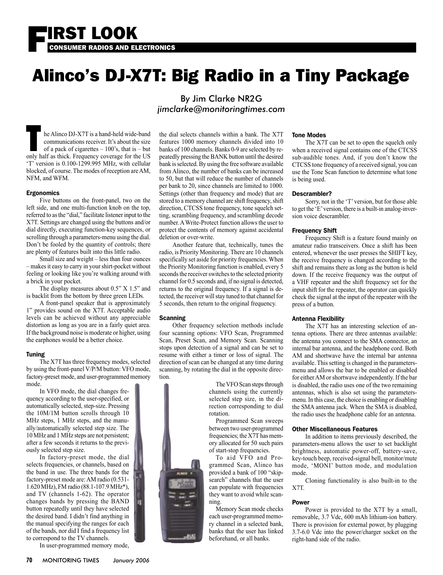

# Alinco's DJ-X7T: Big Radio in a Tiny Package

he Alinco DJ-X7T is a hand-held wide-band communications receiver. It's about the size of a pack of cigarettes  $-100$ 's, that is  $-$  but only half as thick. Frequency coverage for the US 'T' version is 0.100-1299.995 MHz, with cellular blocked, of course. The modes of reception are AM, NFM, and WFM.

#### Ergonomics

 Five buttons on the front-panel, two on the left side, and one multi-function knob on the top, referred to as the "dial," facilitate listener input to the X7T. Settings are changed using the buttons and/or dial directly, executing function-key sequences, or scrolling through a parameters-menu using the dial. Don't be fooled by the quantity of controls; there are plenty of features built into this little radio.

 Small size and weight – less than four ounces – makes it easy to carry in your shirt-pocket without feeling or looking like you're walking around with a brick in your pocket.

 The display measures about 0.5" X 1.5" and is backlit from the bottom by three green LEDs.

 A front-panel speaker that is approximately 1" provides sound on the X7T. Acceptable audio levels can be achieved without any appreciable distortion as long as you are in a fairly quiet area. If the background noise is moderate or higher, using the earphones would be a better choice.

#### Tuning

 The X7T has three frequency modes, selected by using the front-panel V/P/M button: VFO mode, factory-preset mode, and user-programmed memory mode.

 In VFO mode, the dial changes frequency according to the user-specified, or automatically selected, step-size. Pressing the 10M/1M button scrolls through 10 MHz steps, 1 MHz steps, and the manually/automatically selected step size. The 10 MHz and 1 MHz steps are not persistent; after a few seconds it returns to the previously selected step size.

 In factory-preset mode, the dial selects frequencies, or channels, based on the band in use. The three bands for the factory-preset mode are: AM radio (0.531- 1.620 MHz), FM radio (88.1-107.9 MHz\*), and TV (channels 1-62). The operator changes bands by pressing the BAND button repeatedly until they have selected the desired band. I didn't find anything in the manual specifying the ranges for each of the bands, nor did I find a frequency list to correspond to the TV channels.

In user-programmed memory mode,

### By Jim Clarke NR2G *jimclarke@monitoringtimes.com*

the dial selects channels within a bank. The X7T features 1000 memory channels divided into 10 banks of 100 channels. Banks 0-9 are selected by repeatedly pressing the BANK button until the desired bank is selected. By using the free software available from Alinco, the number of banks can be increased to 50, but that will reduce the number of channels per bank to 20, since channels are limited to 1000. Settings (other than frequency and mode) that are stored to a memory channel are shift frequency, shift direction, CTCSS tone frequency, tone squelch setting, scrambling frequency, and scrambling decode number. A Write-Protect function allows the user to protect the contents of memory against accidental deletion or over-write.

 Another feature that, technically, tunes the radio, is Priority Monitoring. There are 10 channels specifically set aside for priority frequencies. When the Priority Monitoring function is enabled, every 5 seconds the receiver switches to the selected priority channel for 0.5 seconds and, if no signal is detected, returns to the original frequency. If a signal is detected, the receiver will stay tuned to that channel for 5 seconds, then return to the original frequency.

#### **Scanning**

 Other frequency selection methods include four scanning options: VFO Scan, Programmed Scan, Preset Scan, and Memory Scan. Scanning stops upon detection of a signal and can be set to resume with either a timer or loss of signal. The direction of scan can be changed at any time during scanning, by rotating the dial in the opposite direction.

 The VFO Scan steps through channels using the currently selected step size, in the direction corresponding to dial rotation. Programmed Scan sweeps

between two user-programmed frequencies; the X7T has memory allocated for 50 such pairs of start-stop frequencies.

 To aid VFO and Programmed Scan, Alinco has provided a bank of 100 "skipsearch" channels that the user can populate with frequencies they want to avoid while scanning.

 Memory Scan mode checks each user-programmed memory channel in a selected bank, banks that the user has linked beforehand, or all banks.

#### Tone Modes

 The X7T can be set to open the squelch only when a received signal contains one of the CTCSS sub-audible tones. And, if you don't know the CTCSS tone frequency of a received signal, you can use the Tone Scan function to determine what tone is being used.

#### Descrambler?

 Sorry, not in the 'T' version, but for those able to get the 'E' version, there is a built-in analog-inversion voice descrambler.

#### Frequency Shift

 Frequency Shift is a feature found mainly on amateur radio transceivers. Once a shift has been entered, whenever the user presses the SHIFT key, the receive frequency is changed according to the shift and remains there as long as the button is held down. If the receive frequency was the output of a VHF repeater and the shift frequency set for the input shift for the repeater, the operator can quickly check the signal at the input of the repeater with the press of a button.

#### Antenna Flexibility

 The X7T has an interesting selection of antenna options. There are three antennas available: the antenna you connect to the SMA connector, an internal bar antenna, and the headphone cord. Both AM and shortwave have the internal bar antenna available. This setting is changed in the parametersmenu and allows the bar to be enabled or disabled for either AM or shortwave independently. If the bar is disabled, the radio uses one of the two remaining antennas, which is also set using the parametersmenu. In this case, the choice is enabling or disabling the SMA antenna jack. When the SMA is disabled, the radio uses the headphone cable for an antenna.

#### Other Miscellaneous Features

 In addition to items previously described, the parameters-menu allows the user to set backlight brightness, automatic power-off, battery-save, key-touch beep, received-signal bell, monitor/mute mode, 'MONI' button mode, and modulation mode.

 Cloning functionality is also built-in to the X7T.

#### Power

 Power is provided to the X7T by a small, removable, 3.7 Vdc, 600 mAh lithium-ion battery. There is provision for external power, by plugging 3.7-6.0 Vdc into the power/charger socket on the right-hand side of the radio.